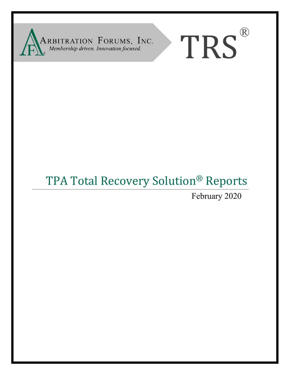

# TRS®

# TPA Total Recovery Solution® Reports

February 2020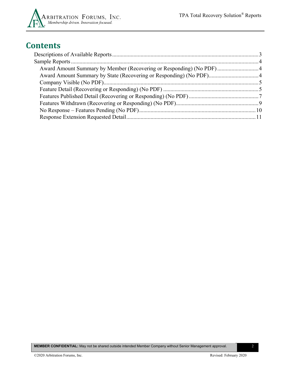

# **Contents**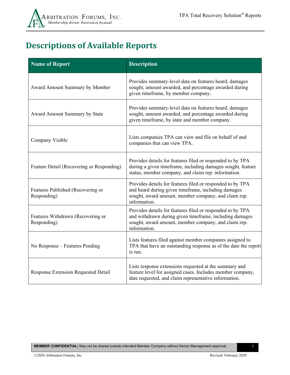# <span id="page-2-0"></span>**Descriptions of Available Reports**

| <b>Name of Report</b>                            | <b>Description</b>                                                                                                                                                                            |
|--------------------------------------------------|-----------------------------------------------------------------------------------------------------------------------------------------------------------------------------------------------|
| Award Amount Summary by Member                   | Provides summary-level data on features heard, damages<br>sought, amount awarded, and percentage awarded during<br>given timeframe, by member company.                                        |
| Award Amount Summary by State                    | Provides summary-level data on features heard, damages<br>sought, amount awarded, and percentage awarded during<br>given timeframe, by state and member company.                              |
| Company Visible                                  | Lists companies TPA can view and file on behalf of and<br>companies that can view TPA.                                                                                                        |
| Feature Detail (Recovering or Responding)        | Provides details for features filed or responded to by TPA<br>during a given timeframe, including damages sought, feature<br>status, member company, and claim rep. information.              |
| Features Published (Recovering or<br>Responding) | Provides details for features filed or responded to by TPA<br>and heard during given timeframe, including damages<br>sought, award amount, member company, and claim rep.<br>information.     |
| Features Withdrawn (Recovering or<br>Responding) | Provides details for features filed or responded to by TPA<br>and withdrawn during given timeframe, including damages<br>sought, award amount, member company, and claim rep.<br>information. |
| No Response – Features Pending                   | Lists features filed against member companies assigned to<br>TPA that have an outstanding response as of the date the report<br>is run.                                                       |
| Response Extension Requested Detail              | Lists response extensions requested at the summary and<br>feature level for assigned cases. Includes member company,<br>date requested, and claim representative information.                 |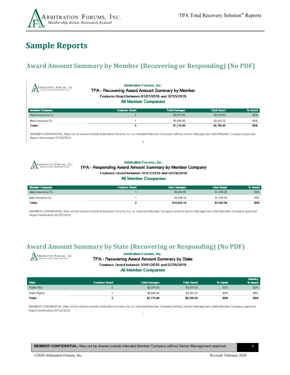

# <span id="page-3-0"></span>**Sample Reports**

# <span id="page-3-1"></span>**Award Amount Summary by Member (Recovering or Responding) (No PDF)**

| <b>Arbitration Forums, Inc.</b><br>ARBITRATION FORUMS, INC.<br>TPA - Recovering Award Amount Summary by Member<br>Features Heard between 01/01/2018 and 07/25/2019<br><b>All Member Companies</b> |                      |                    |         |  |
|---------------------------------------------------------------------------------------------------------------------------------------------------------------------------------------------------|----------------------|--------------------|---------|--|
| <b>Features Heard</b>                                                                                                                                                                             | <b>Total Damages</b> | <b>Total Award</b> | % Award |  |
| $\overline{2}$                                                                                                                                                                                    | \$3,579.90           | \$3,276.63         | 92%     |  |
|                                                                                                                                                                                                   | \$3,599.99           | \$2,433.32         | 68%     |  |
| \$7,179.89<br>80%<br>\$5,709.95<br>Totals:<br>3                                                                                                                                                   |                      |                    |         |  |
|                                                                                                                                                                                                   |                      |                    |         |  |

MEMBER CONFIDENTIAL: May not be shared outside Arbitration Forums, Inc. or intended Member Company without Senior Management AND Member Company approval. Report Generated: 07/25/2019  $1\,$ 



### **Arbitration Forums, Inc.**

### TPA - Responding Award Amount Summary by Member Company Features Heard between 01/01/2019 and 02/28/2019

### **All Member Companies**

| <b>Member Company</b> | <b>Features Heard</b> | <b>Total Damages</b> | <b>Total Award</b> | % Award |
|-----------------------|-----------------------|----------------------|--------------------|---------|
| Alpha Insurance Co    |                       | \$6,254.00           | \$1,876.20         | 30%     |
| Beta Insurance Co     |                       | \$4,599.14           | \$1,379.74         | 30%     |
| Totals:               |                       | \$10,853.14          | \$3,255.94         | 30%     |

MEMBER CONFIDENTIAL: May not be shared outside Arbitration Forums, Inc. or intended Member Company without Senior Management AND Member Company approval. Report Generated: 07/25/2019

## <span id="page-3-2"></span>**Award Amount Summary by State (Recovering or Responding) (No PDF)**



### **Arbitration Forums, Inc.**

### TPA - Recovering Award Amount Summary by State Features Heard between 01/01/2018 and 07/25/2019

**All Member Companies** 

|               |                       |                      |                    |         | Industry |
|---------------|-----------------------|----------------------|--------------------|---------|----------|
| <b>State</b>  | <b>Features Heard</b> | <b>Total Damages</b> | <b>Total Award</b> | % Award | % Award  |
| Puerto Rico   |                       | \$3,579.90           | \$3,276.63         | 92%     | 92%      |
| West Virginia |                       | \$3,599.99           | \$2,433.32         | 68%     | 68%      |
| Totals:       |                       | \$7,179.89           | \$5,709.95         | 80%     | 80%      |

MEMBER CONFIDENTIAL: May not be shared outside Arbitration Forums, Inc. or intended Member Company without Senior Management AND Member Company approval. Report Generated: 07/25/2019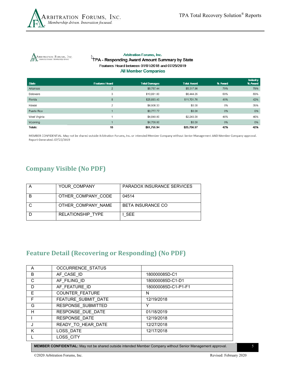

ARBITRATION FORUMS, INC.

### **Arbitration Forums, Inc.** TPA - Responding Award Amount Summary by State Features Heard between 01/01/2018 and 07/25/2019 **All Member Companies**

| State         | <b>Features Heard</b> | <b>Total Damages</b> | <b>Total Award</b> | % Award | <b>Industry</b><br>% Award |
|---------------|-----------------------|----------------------|--------------------|---------|----------------------------|
| Arkansas      | $\overline{2}$        | \$6,767.44           | \$5,317.96         | 79%     | 79%                        |
| Delaware      | 3                     | \$10,881.00          | \$6,444.25         | 59%     | 59%                        |
| Florida       | 8                     | \$25,883.40          | \$11,701.76        | 45%     | 42%                        |
| Hawaii        | 2                     | \$4,906.33           | \$0.00             | 0%      | 35%                        |
| Puerto Rico   |                       | \$3,777.77           | \$0.00             | 0%      | 0%                         |
| West Virginia |                       | \$4,840.00           | \$2,243.00         | 46%     | 46%                        |
| Wyoming       |                       | \$4,700.00           | \$0.00             | 0%      | 0%                         |
| Totals:       | 18                    | \$61,755.94          | \$25,706.97        | 42%     | 42%                        |

MEMBER CONFIDENTIAL: May not be shared outside Arbitration Forums, Inc. or intended Member Company without Senior Management AND Member Company approval. Report Generated: 07/25/2019

# <span id="page-4-0"></span>**Company Visible (No PDF)**

| YOUR COMPANY       | PARADOX INSURANCE SERVICES |
|--------------------|----------------------------|
| OTHER COMPANY CODE | 04514                      |
| OTHER COMPANY NAME | <b>BETA INSURANCE CO</b>   |
| RELATIONSHIP TYPE  | I SEE.                     |

# <span id="page-4-1"></span>**Feature Detail (Recovering or Responding) (No PDF)**

| A | <b>OCCURRENCE STATUS</b> |                     |
|---|--------------------------|---------------------|
| B | AF CASE ID               | 180000085D-C1       |
| C | AF FILING ID             | 180000085D-C1-D1    |
| D | AF FEATURE ID            | 180000085D-C1-P1-F1 |
| E | <b>COUNTER FEATURE</b>   | N                   |
| F | FEATURE SUBMIT DATE      | 12/19/2018          |
| G | RESPONSE SUBMITTED       | Y                   |
| H | RESPONSE DUE DATE        | 01/18/2019          |
|   | RESPONSE DATE            | 12/19/2018          |
|   | READY TO HEAR DATE       | 12/27/2018          |
| K | LOSS DATE                | 12/17/2018          |
|   | LOSS CITY                |                     |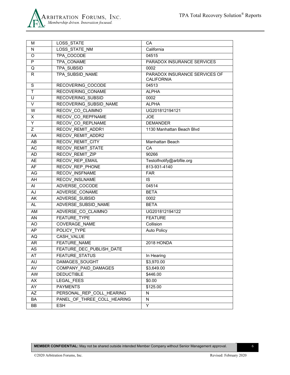

| м         | LOSS_STATE                      | CA                            |
|-----------|---------------------------------|-------------------------------|
| N         | LOSS_STATE_NM                   | California                    |
| O         | TPA_COCODE                      | 04515                         |
| P         | TPA CONAME                      | PARADOX INSURANCE SERVICES    |
| Q         | <b>TPA SUBSID</b>               | 0002                          |
| R.        | TPA SUBSID NAME                 | PARADOX INSURANCE SERVICES OF |
|           |                                 | <b>CALIFORNIA</b>             |
| S         | RECOVERING_COCODE               | 04513                         |
| T.        | RECOVERING CONAME               | <b>ALPHA</b>                  |
| U         | <b>RECOVERING SUBSID</b>        | 0002                          |
| V         | RECOVERING SUBSID NAME          | <b>ALPHA</b>                  |
| W         | RECOV CO CLAIMNO                | UG201812194121                |
| X         | RECOV CO REPFNAME               | <b>JOE</b>                    |
| Y         | RECOV_CO_REPLNAME               | <b>DEMANDER</b>               |
| Ζ         | RECOV REMIT ADDR1               | 1130 Manhattan Beach Blvd     |
| AA.       | RECOV_REMIT_ADDR2               |                               |
| AB        | <b>RECOV REMIT CITY</b>         | Manhattan Beach               |
| AC        | RECOV_REMIT_STATE               | CA                            |
| AD        | RECOV_REMIT_ZIP                 | 90266                         |
| AE        | RECOV REP EMAIL                 | Testolfnotify@arbfile.org     |
| AF        | RECOV REP PHONE                 | 813-931-4140                  |
| AG        | RECOV_INSFNAME                  | <b>FAR</b>                    |
| AH        | RECOV INSLNAME                  | IS                            |
| AI        | ADVERSE COCODE                  | 04514                         |
| AJ        | ADVERSE CONAME                  | <b>BETA</b>                   |
| AK        | ADVERSE SUBSID                  | 0002                          |
| <b>AL</b> | ADVERSE SUBSID NAME             | <b>BETA</b>                   |
| AM        | ADVERSE CO CLAIMNO              | UG201812194122                |
| AN        | <b>FEATURE TYPE</b>             | <b>FEATURE</b>                |
| AO        | <b>COVERAGE NAME</b>            | Collision                     |
| AP        | POLICY TYPE                     | <b>Auto Policy</b>            |
| AQ        | CASH VALUE                      |                               |
| AR        | FEATURE NAME                    | 2018 HONDA                    |
| AS        | <b>FEATURE DEC PUBLISH DATE</b> |                               |
| AT        | FEATURE_STATUS                  | In Hearing                    |
| AU        | DAMAGES SOUGHT                  | \$3,970.00                    |
| AV        | COMPANY PAID DAMAGES            | \$3,649.00                    |
| AW        | <b>DEDUCTIBLE</b>               | \$446.00                      |
| AX        | LEGAL FEES                      | \$0.00                        |
| AY        | <b>PAYMENTS</b>                 | \$125.00                      |
| AZ        | PERSONAL_REP_COLL_HEARING       | N                             |
| BA        | PANEL OF THREE COLL HEARING     | N                             |
| BB        | ESH                             | Y                             |
|           |                                 |                               |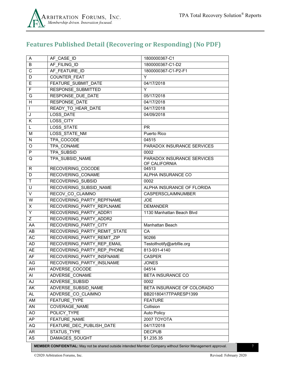

# <span id="page-6-0"></span>**Features Published Detail (Recovering or Responding) (No PDF)**

| A                       | AF CASE ID                    | 1800000367-C1                               |
|-------------------------|-------------------------------|---------------------------------------------|
| B                       | AF FILING ID                  | 1800000367-C1-D2                            |
| C                       | AF FEATURE ID                 | 1800000367-C1-P2-F1                         |
| D                       | <b>COUNTER FEAT</b>           | Y                                           |
| Е                       | <b>FEATURE SUBMIT DATE</b>    | 04/17/2018                                  |
| F                       | <b>RESPONSE SUBMITTED</b>     | Y                                           |
| G                       | <b>RESPONSE_DUE_DATE</b>      | 05/17/2018                                  |
| H                       | <b>RESPONSE DATE</b>          | 04/17/2018                                  |
| $\overline{1}$          | READY TO HEAR DATE            | 04/17/2018                                  |
| J                       | LOSS DATE                     | 04/09/2018                                  |
| Κ                       | LOSS_CITY                     |                                             |
| L                       | LOSS STATE                    | PR.                                         |
| M                       | <b>LOSS STATE NM</b>          | Puerto Rico                                 |
| N                       | TPA COCODE                    | 04515                                       |
| O                       | TPA_CONAME                    | PARADOX INSURANCE SERVICES                  |
| P                       | <b>TPA SUBSID</b>             | 0002                                        |
| Q                       | TPA SUBSID NAME               | PARADOX INSURANCE SERVICES<br>OF CALIFORNIA |
| R.                      | RECOVERING COCODE             | 04513                                       |
| D                       | RECOVERING CONAME             | ALPHA INSURANCE CO                          |
| $\mathsf{T}$            | RECOVERING SUBSID             | 0002                                        |
| $\overline{\mathsf{U}}$ | <b>RECOVERING SUBSID NAME</b> | ALPHA INSURANCE OF FLORIDA                  |
| V                       | RECOV CO CLAIMNO              | CASPERSCLAIMNUMBER                          |
| W                       | RECOVERING PARTY REPFNAME     | <b>JOE</b>                                  |
| X                       | RECOVERING PARTY REPLNAME     | <b>DEMANDER</b>                             |
| Υ                       | RECOVERING PARTY ADDR1        | 1130 Manhattan Beach Blvd                   |
| Z                       | RECOVERING PARTY ADDR2        |                                             |
| AA                      | RECOVERING_PARTY_CITY         | Manhattan Beach                             |
| AB                      | RECOVERING PARTY REMIT STATE  | CA                                          |
| <b>AC</b>               | RECOVERING PARTY REMIT ZIP    | 90266                                       |
| AD                      | RECOVERING PARTY REP EMAIL    | Testolfnotify@arbfile.org                   |
| <b>AE</b>               | RECOVERING PARTY REP PHONE    | 813-931-4140                                |
| AF                      | RECOVERING PARTY INSFNAME     | <b>CASPER</b>                               |
| AG                      | RECOVERING PARTY_INSLNAME     | <b>JONES</b>                                |
| AH                      | ADVERSE_COCODE                | 04514                                       |
| Al                      | ADVERSE CONAME                | BETA INSURANCE CO                           |
| <b>AJ</b>               | <b>ADVERSE SUBSID</b>         | 0002                                        |
| AK                      | ADVERSE SUBSID NAME           | BETA INSURANCE OF COLORADO                  |
| AL                      | ADVERSE CO CLAIMNO            | BB20180417TPARESP1399                       |
| AM                      | FEATURE TYPE                  | <b>FEATURE</b>                              |
| AN                      | <b>COVERAGE NAME</b>          | Collision                                   |
| AO                      | POLICY TYPE                   | <b>Auto Policy</b>                          |
| AP                      | FEATURE NAME                  | 2007 TOYOTA                                 |
| AQ                      | FEATURE DEC PUBLISH DATE      | 04/17/2018                                  |
| AR                      | STATUS TYPE                   | <b>DECPUB</b>                               |
| AS                      | DAMAGES_SOUGHT                | \$1,235.35                                  |

**MEMBER CONFIDENTIAL:** May not be shared outside intended Member Company without Senior Management approval. 7

©2020 Arbitration Forums, Inc. Revised: February 2020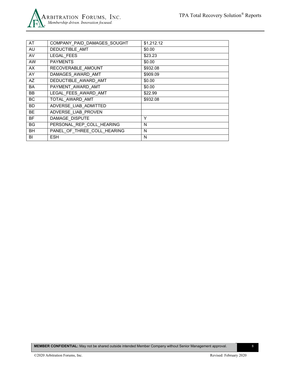

| AT        | COMPANY PAID DAMAGES SOUGHT | \$1,212.12 |
|-----------|-----------------------------|------------|
| AU        | DEDUCTIBLE AMT              | \$0.00     |
| AV        | <b>LEGAL FEES</b>           | \$23.23    |
| AW        | <b>PAYMENTS</b>             | \$0.00     |
| AX        | RECOVERABLE AMOUNT          | \$932.08   |
| AY        | DAMAGES_AWARD AMT           | \$909.09   |
| AZ        | DEDUCTIBLE AWARD AMT        | \$0.00     |
| BA        | PAYMENT AWARD AMT           | \$0.00     |
| BB.       | LEGAL FEES AWARD AMT        | \$22.99    |
| <b>BC</b> | TOTAL AWARD AMT             | \$932.08   |
| <b>BD</b> | ADVERSE_LIAB_ADMITTED       |            |
| <b>BE</b> | ADVERSE LIAB PROVEN         |            |
| <b>BF</b> | DAMAGE DISPUTE              | Y          |
| <b>BG</b> | PERSONAL_REP_COLL_HEARING   | N          |
| <b>BH</b> | PANEL OF THREE COLL HEARING | N          |
| BI        | <b>ESH</b>                  | N          |
|           |                             |            |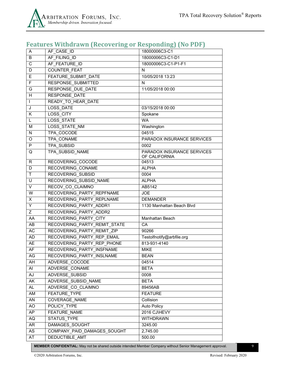

# <span id="page-8-0"></span>**Features Withdrawn (Recovering or Responding) (No PDF)**

| A                       | AF CASE ID                   | 18000006C3-C1              |
|-------------------------|------------------------------|----------------------------|
| B                       | AF FILING ID                 | 18000006C3-C1-D1           |
| C                       | AF FEATURE ID                | 18000006C3-C1-P1-F1        |
| D                       | <b>COUNTER FEAT</b>          | N                          |
| E                       | <b>FEATURE SUBMIT DATE</b>   | 10/05/2018 13:23           |
| $\overline{F}$          | <b>RESPONSE SUBMITTED</b>    | N                          |
| G                       | <b>RESPONSE DUE DATE</b>     | 11/05/2018 00:00           |
| H                       | RESPONSE DATE                |                            |
| $\mathbf{I}$            | READY TO HEAR DATE           |                            |
| J                       | <b>LOSS DATE</b>             | 03/15/2018 00:00           |
| Κ                       | <b>LOSS CITY</b>             | Spokane                    |
| L                       | <b>LOSS STATE</b>            | <b>WA</b>                  |
| M                       | LOSS STATE NM                | Washington                 |
| N                       | TPA COCODE                   | 04515                      |
| O                       | TPA CONAME                   | PARADOX INSURANCE SERVICES |
| P                       | <b>TPA SUBSID</b>            | 0002                       |
| Q                       | TPA SUBSID NAME              | PARADOX INSURANCE SERVICES |
|                         | <b>RECOVERING COCODE</b>     | OF CALIFORNIA              |
| R<br>D                  | RECOVERING CONAME            | 04513<br><b>ALPHA</b>      |
| $\mathsf{T}$            | <b>RECOVERING SUBSID</b>     | 0004                       |
| U                       | RECOVERING SUBSID NAME       | <b>ALPHA</b>               |
| V                       | RECOV CO CLAIMNO             | AB5142                     |
| $\overline{\mathsf{W}}$ | RECOVERING PARTY REPFNAME    | <b>JOE</b>                 |
| X                       | RECOVERING PARTY REPLNAME    | <b>DEMANDER</b>            |
| Y                       | RECOVERING PARTY ADDR1       | 1130 Manhattan Beach Blvd  |
| $\overline{Z}$          | RECOVERING PARTY ADDR2       |                            |
| AA                      | RECOVERING PARTY CITY        | Manhattan Beach            |
| AB                      | RECOVERING PARTY REMIT STATE | CA                         |
| AC                      | RECOVERING PARTY REMIT ZIP   | 90266                      |
| AD                      | RECOVERING PARTY REP EMAIL   | Testolfnotify@arbfile.org  |
| AE                      | RECOVERING PARTY REP PHONE   | 813-931-4140               |
| AF                      | RECOVERING PARTY INSFNAME    | <b>MIKE</b>                |
| AG                      | RECOVERING PARTY INSLNAME    | <b>BEAN</b>                |
| AH                      | ADVERSE_COCODE               | 04514                      |
| Al                      | ADVERSE_CONAME               | <b>BETA</b>                |
| AJ                      | ADVERSE SUBSID               | 0008                       |
| AK                      | ADVERSE SUBSID NAME          | <b>BETA</b>                |
| AL.                     | ADVERSE CO CLAIMNO           | 89456AB                    |
| AM                      | <b>FEATURE TYPE</b>          | <b>FEATURE</b>             |
| AN                      | COVERAGE NAME                | Collision                  |
| AO                      | POLICY TYPE                  | <b>Auto Policy</b>         |
| AP                      | FEATURE NAME                 | 2016 CJ\HEVY               |
| $\sf{AQ}$               | <b>STATUS TYPE</b>           | <b>WITHDRAWN</b>           |
| AR                      | DAMAGES SOUGHT               | 3245.00                    |
| AS                      | COMPANY PAID DAMAGES SOUGHT  | 2,745.00                   |
| AT                      | DEDUCTIBLE AMT               | 500.00                     |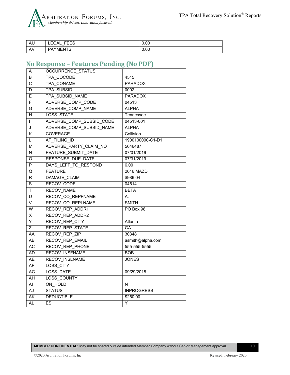

| AU                                    | rrro<br>LEGAL<br>トヒヒゝ | 0.00 |
|---------------------------------------|-----------------------|------|
| $\Delta V$<br>$\mathsf{A} \mathsf{v}$ | <b>YMENTS</b><br>אס   | 0.00 |

# <span id="page-9-0"></span>**No Response – Features Pending (No PDF)**

| Α                        | <b>OCCURRENCE STATUS</b>   |                   |
|--------------------------|----------------------------|-------------------|
| B                        | TPA COCODE                 | 4515              |
| $\overline{C}$           | TPA CONAME                 | <b>PARADOX</b>    |
| D                        | <b>TPA SUBSID</b>          | 0002              |
| E                        | <b>TPA SUBSID NAME</b>     | <b>PARADOX</b>    |
| F                        | ADVERSE COMP CODE          | 04513             |
| G                        | ADVERSE COMP NAME          | <b>ALPHA</b>      |
| H                        | <b>LOSS STATE</b>          | Tennessee         |
| $\mathsf{L}$             | ADVERSE_COMP_SUBSID_CODE   | 04513-001         |
| J                        | ADVERSE COMP SUBSID NAME   | <b>ALPHA</b>      |
| K                        | <b>COVERAGE</b>            | Collision         |
| L                        | AF FILING ID               | 1900100000-C1-D1  |
| М                        | ADVERSE PARTY CLAIM NO     | 5646487           |
| N                        | <b>FEATURE SUBMIT DATE</b> | 07/01/2019        |
| O                        | <b>RESPONSE DUE DATE</b>   | 07/31/2019        |
| P                        | DAYS LEFT TO RESPOND       | 6.00              |
| Q                        | <b>FEATURE</b>             | 2016 MAZD         |
| R                        | DAMAGE CLAIM               | \$986.04          |
| S                        | RECOV_CODE                 | 04514             |
| $\overline{\mathsf{T}}$  | <b>RECOV NAME</b>          | <b>BETA</b>       |
| $\overline{\mathsf{U}}$  | RECOV CO REPFNAME          | А.                |
| V                        | RECOV CO REPLNAME          | <b>SMITH</b>      |
| $\overline{W}$           | RECOV_REP_ADDR1            | PO Box 98         |
| X                        | RECOV REP ADDR2            |                   |
| Ÿ                        | <b>RECOV REP CITY</b>      | Atlanta           |
| $\overline{Z}$           | <b>RECOV REP STATE</b>     | GA                |
| AA                       | RECOV REP ZIP              | 30348             |
| AB                       | <b>RECOV REP EMAIL</b>     | asmith@alpha.com  |
| AC                       | <b>RECOV REP PHONE</b>     | 555-555-5555      |
| AD                       | <b>RECOV INSFNAME</b>      | <b>BOB</b>        |
| <b>AE</b>                | <b>RECOV INSLNAME</b>      | <b>JONES</b>      |
| AF                       | LOSS CITY                  |                   |
| <b>AG</b>                | <b>LOSS DATE</b>           | 09/29/2018        |
| $\overline{AH}$          | <b>LOSS COUNTY</b>         |                   |
| $\overline{AI}$          | ON HOLD                    | N                 |
| AJ                       | <b>STATUS</b>              | <b>INPROGRESS</b> |
| $\overline{\mathsf{AK}}$ | <b>DEDUCTIBLE</b>          | \$250.00          |
| AL                       | <b>ESH</b>                 | Y                 |